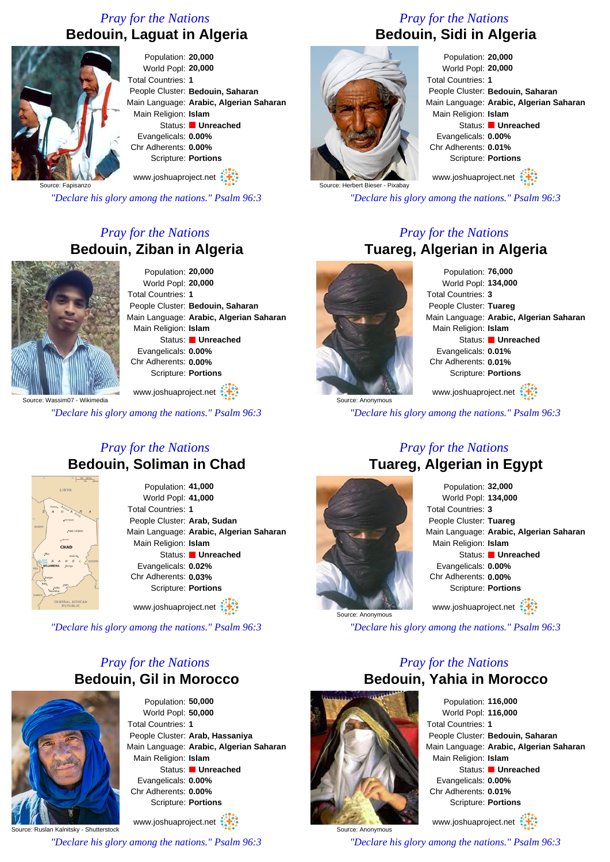# *Pray for the Nations* **Bedouin, Laguat in Algeria**



World Popl: **20,000** People Cluster: **Bedouin, Saharan** Main Language: **Arabic, Algerian Saharan**  Main Religion: **Islam** Status: **Unreached** Evangelicals: **0.00%** Chr Adherents: **0.00%** Scripture: **Portions**

Source: Fapisanzo

*"Declare his glory among the nations." Psalm 96:3*

# *Pray for the Nations* **Bedouin, Ziban in Algeria**



Population: **20,000** World Popl: **20,000** Total Countries: **1** People Cluster: **Bedouin, Saharan** Main Language: **Arabic, Algerian Saharan**  Main Religion: **Islam** Status: **Unreached** Evangelicals: **0.00%** Chr Adherents: **0.00%** Scripture: **Portions**

www.joshuaproject.net

*"Declare his glory among the nations." Psalm 96:3*

#### *Pray for the Nations* **Bedouin, Soliman in Chad**



Population: **41,000** World Popl: **41,000** Total Countries: **1** People Cluster: **Arab, Sudan** Main Language: **Arabic, Algerian Saharan**  Main Religion: **Islam** Status: **Unreached** Evangelicals: **0.02%** Chr Adherents: **0.03%** Scripture: **Portions**

www.joshuaproject.net

*"Declare his glory among the nations." Psalm 96:3*

### *Pray for the Nations* **Bedouin, Gil in Morocco**



Population: **50,000** World Popl: **50,000** Total Countries: **1** People Cluster: **Arab, Hassaniya** Main Language: **Arabic, Algerian Saharan**  Main Religion: **Islam** Status: **Unreached** Evangelicals: **0.00%** Chr Adherents: **0.00%** Scripture: **Portions**

Source: Ruslan Kalnitsky - Shutterstock www.joshuaproject.net

*"Declare his glory among the nations." Psalm 96:3*

# *Pray for the Nations* **Bedouin, Sidi in Algeria**



Population: **20,000** World Popl: **20,000** Total Countries: **1** People Cluster: **Bedouin, Saharan** Main Language: **Arabic, Algerian Saharan**  Main Religion: **Islam** Status: **Unreached** Evangelicals: **0.00%** Chr Adherents: **0.01%** Scripture: **Portions**

www.joshuaproject.net

*"Declare his glory among the nations." Psalm 96:3*

#### *Pray for the Nations* **Tuareg, Algerian in Algeria**



Population: **76,000** World Popl: **134,000** Total Countries: **3** People Cluster: **Tuareg** Main Language: **Arabic, Algerian Saharan**  Main Religion: **Islam** Status: **Unreached** Evangelicals: **0.01%** Chr Adherents: **0.01%** Scripture: **Portions** www.joshuaproject.net

*"Declare his glory among the nations." Psalm 96:3*

#### *Pray for the Nations* **Tuareg, Algerian in Egypt**



Population: **32,000** World Popl: **134,000** Total Countries: **3** People Cluster: **Tuareg** Main Language: **Arabic, Algerian Saharan**  Main Religion: **Islam** Status: **Unreached** Evangelicals: **0.00%** Chr Adherents: **0.00%** Scripture: **Portions** www.joshuaproject.net

*"Declare his glory among the nations." Psalm 96:3*

### *Pray for the Nations* **Bedouin, Yahia in Morocco**



Population: **116,000** World Popl: **116,000** Total Countries: **1** People Cluster: **Bedouin, Saharan** Main Language: **Arabic, Algerian Saharan**  Main Religion: **Islam** Status: **Unreached** Evangelicals: **0.00%** Chr Adherents: **0.01%** Scripture: **Portions**

www.joshuaproject.net

*"Declare his glory among the nations." Psalm 96:3*